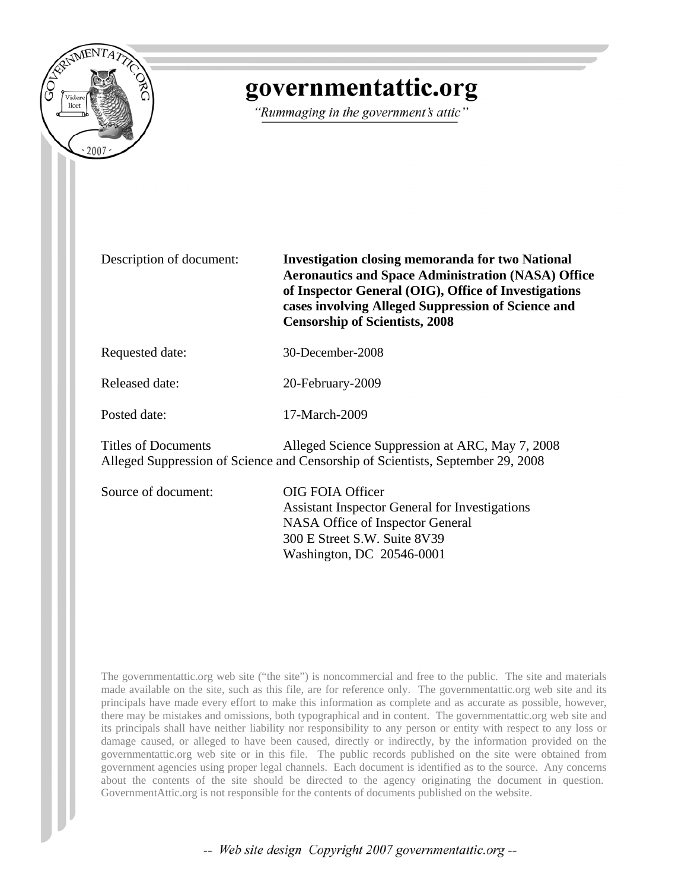

# governmentattic.org

"Rummaging in the government's attic"

Description of document: **Investigation closing memoranda for two National Aeronautics and Space Administration (NASA) Office of Inspector General (OIG), Office of Investigations cases involving Alleged Suppression of Science and Censorship of Scientists, 2008**

Requested date: 30-December-2008

Released date: 20-February-2009

Posted date: 17-March-2009

Titles of Documents Alleged Science Suppression at ARC, May 7, 2008 Alleged Suppression of Science and Censorship of Scientists, September 29, 2008

Source of document: OIG FOIA Officer

Assistant Inspector General for Investigations NASA Office of Inspector General 300 E Street S.W. Suite 8V39 Washington, DC 20546-0001

The governmentattic.org web site ("the site") is noncommercial and free to the public. The site and materials made available on the site, such as this file, are for reference only. The governmentattic.org web site and its principals have made every effort to make this information as complete and as accurate as possible, however, there may be mistakes and omissions, both typographical and in content. The governmentattic.org web site and its principals shall have neither liability nor responsibility to any person or entity with respect to any loss or damage caused, or alleged to have been caused, directly or indirectly, by the information provided on the governmentattic.org web site or in this file. The public records published on the site were obtained from government agencies using proper legal channels. Each document is identified as to the source. Any concerns about the contents of the site should be directed to the agency originating the document in question. GovernmentAttic.org is not responsible for the contents of documents published on the website.

-- Web site design Copyright 2007 governmentattic.org --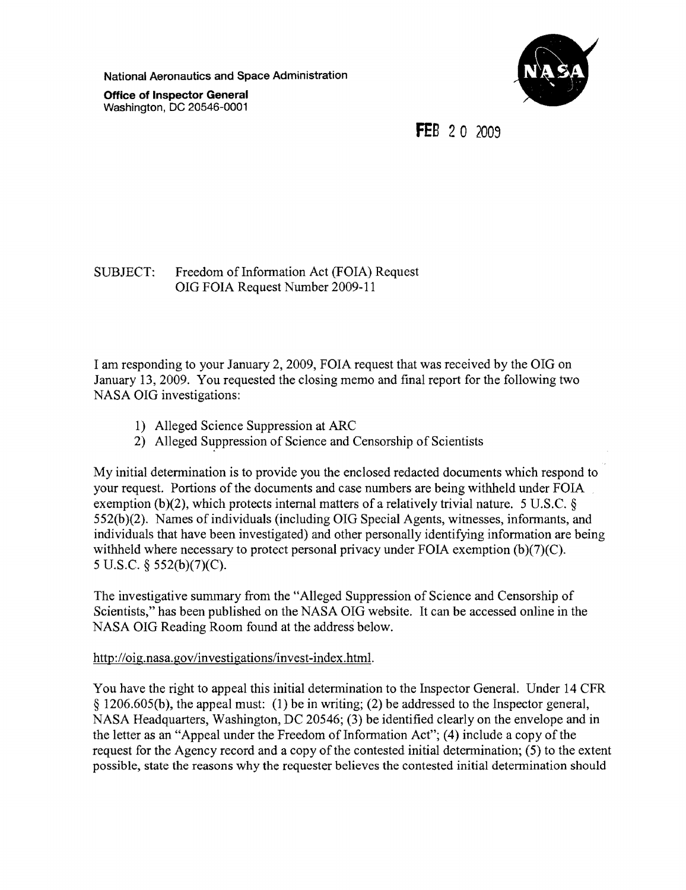National Aeronautics and Space Administration

Office of Inspector General Washington, DC 20546-0001



**FEB** 2 0 2003

### SUBJECT: Freedom of Information Act (FOIA) Request OIG FOIA Request Number 2009-11

I am responding to your January 2,2009, FOIA request that was received by the OIG on January 13,2009. You requested the closing memo and final report for the following two NASA OIG investigations:

- 1) Alleged Science Suppression at ARC
- 2) Alleged Suppression of Science and Censorship of Scientists

My initial determination is to provide you the enclosed redacted documents which respond to your request. Portions of the documents and case numbers are being withheld under FOIA exemption (b)(2), which protects internal matters of a relatively trivial nature. 5 U.S.C.  $\delta$ 552(b)(2). Names of individuals (including OIG Special Agents, witnesses, informants, and individuals that have been investigated) and other personally identifying information are being withheld where necessary to protect personal privacy under FOIA exemption  $(b)(7)(C)$ . 5 U.S.C. § 552(b)(7)(C).

The investigative summary from the "Alleged Suppression of Science and Censorship of Scientists," has been published on the NASA OIG website. It can be accessed online in the NASA OIG Reading Room found at the address below.

### http://oig.nasa.gov/investigations/invest-index.html.

You have the right to appeal this initial determination to the Inspector General. Under 14 CFR § 1206.605(b), the appeal must: (1) be in writing; (2) be addressed to the Inspector general, NASA Headquarters, Washington, DC 20546; (3) be identified clearly on the envelope and in the letter as an "Appeal under the Freedom of Information Act";  $(4)$  include a copy of the request for the Agency record and a copy of the contested initial determination; (5) to the extent possible, state the reasons why the requester believes the contested initial determination should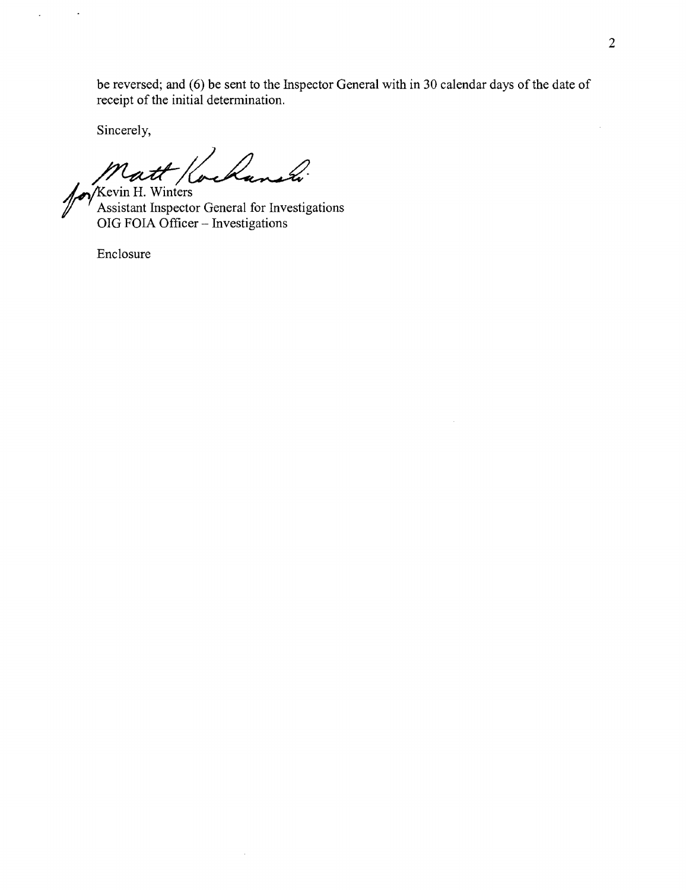be reversed; and (6) be sent to the Inspector General with in 30 calendar days of the date of receipt of the initial determination.

 $\bar{z}$ 

Sincerely,

 $\ddot{\phantom{1}}$ 

 $\lambda$ 

Matt / Cochaneli

OIG FOIA Officer - Investigations

 $\bar{z}$ 

Enclosure

 $\bar{z}$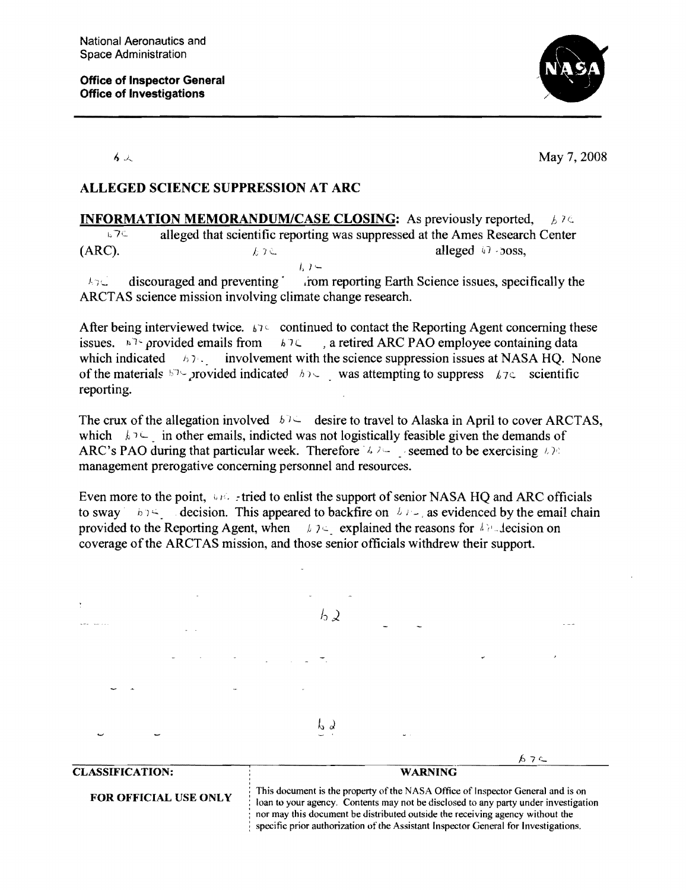

石头

May 7, 2008

## ALLEGED SCIENCE SUPPRESSION AT ARC

INFORMATION MEMORANDUM/CASE CLOSING: As previously reported, *h*  $\lambda \in$  $E^{\text{L}}$  alleged that scientific reporting was suppressed at the Ames Research Center (ARC).  $k \in \mathbb{R}$  alleged  $\mathbb{R}$  -Joss,  $l, l -$ 

 $\lambda_{\text{R}}$ . discouraged and preventing in the reporting Earth Science issues, specifically the ARCT AS science mission involving climate change research.

After being interviewed twice. *b*<sup>1</sup> continued to contact the Reporting Agent concerning these issues. the provided emails from *blc.*, a retired ARC PAO employee containing data which indicated  $h \gamma$ . involvement with the science suppression issues at NASA HQ. None of the materials  $\mathbb{R}^7$ -Jrovided indicated  $\mathbb{R}^7$ , was attempting to suppress  $\mathbb{R}^7$  scientific reporting.

The crux of the allegation involved  $h^{\dagger}$  desire to travel to Alaska in April to cover ARCTAS, which  $k \in \mathbb{R}$  in other emails, indicted was not logistically feasible given the demands of ARC's PAO during that particular week. Therefore  $\sqrt{2}$  is seemed to be exercising  $L \ge 0$ management prerogative concerning personnel and resources.

Even more to the point,  $\Box$  is tried to enlist the support of senior NASA HQ and ARC officials to sway b  $\beta$  - decision. This appeared to backfire on  $\beta$   $\beta$ - as evidenced by the email chain provided to the Reporting Agent, when  $\lambda$   $\lambda$ : explained the reasons for  $\lambda$  r. lecision on coverage of the ARCT AS mission, and those senior officials withdrew their support.



nor may this document be distributed outside the receiving agency without the specific prior authorization of the Assistant Inspector General for Investigations.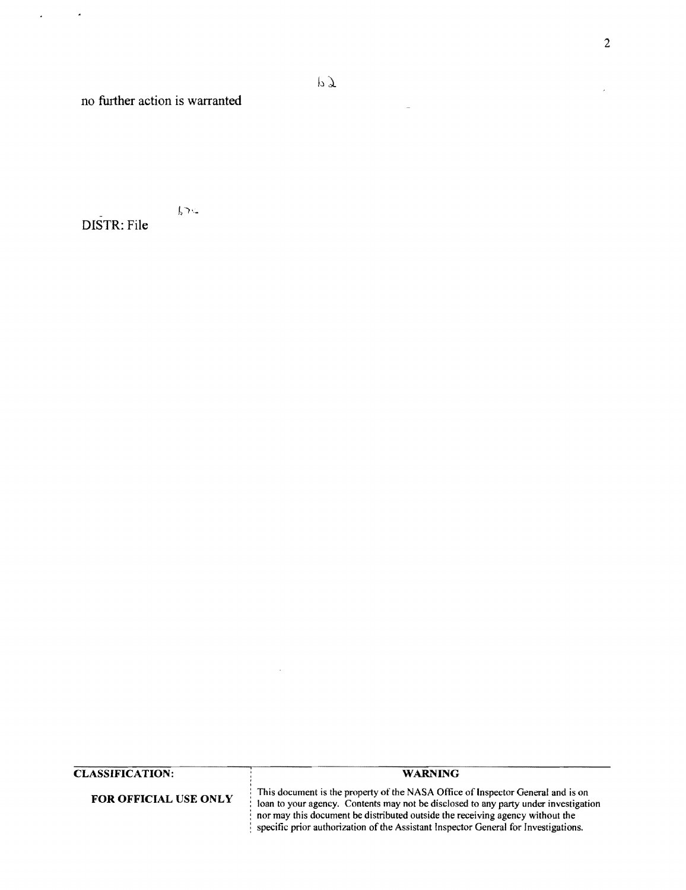no further action is warranted

#### $52c$ DISTR: File

CLASSIFICATION:

FOR OFFICIAL USE ONLY

ì

WARNING

This document is the property of the NASA Office of Inspector General and is on loan to your agency. Contents may not be disclosed to any party under investigation nor may this document be distributed outside the receiving agency without the specific prior authorization of the Assistant Inspector General for Investigations.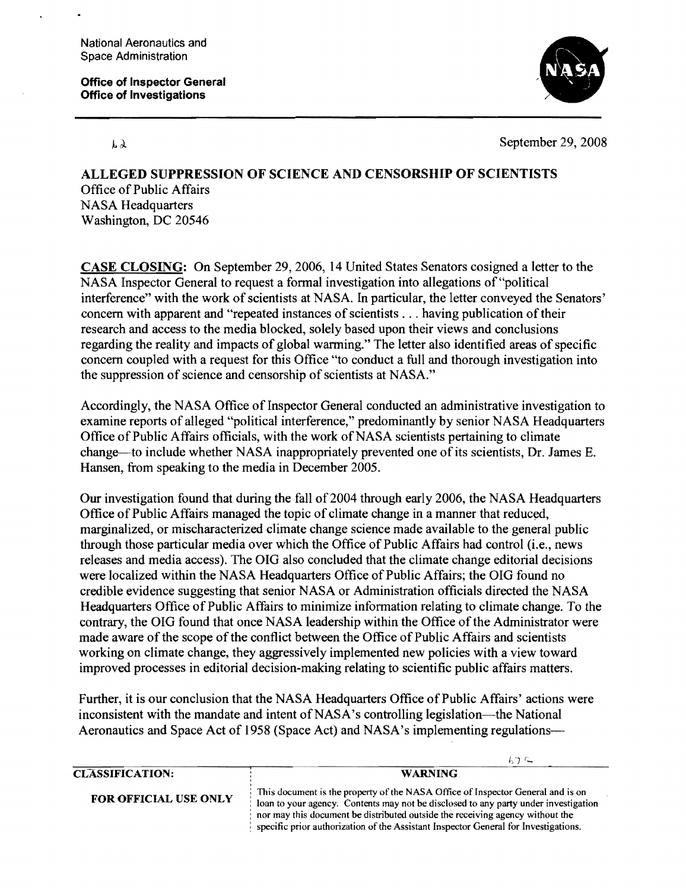National Aeronautics and Space Administration

Office of Inspector General Office of Investigations



 $\lambda$ 

September 29, 2008

 $l > C$ 

ALLEGED SUPPRESSION OF SCIENCE AND CENSORSHIP OF SCIENTISTS Office of Public Affairs NASA Headquarters Washington, DC 20546

CASE CLOSING: On September 29,2006, 14 United States Senators cosigned a letter to the NASA Inspector General to request a formal investigation into allegations of "political interference" with the work of scientists at NASA. In particular, the letter conveyed the Senators' concern with apparent and "repeated instances of scientists ... having publication of their research and access to the media blocked, solely based upon their views and conclusions regarding the reality and impacts of global warming." The letter also identified areas of specific concern coupled with a request for this Office "to conduct a full and thorough investigation into the suppression of science and censorship of scientists at NASA."

Accordingly, the NASA Office of Inspector General conducted an administrative investigation to examine reports of alleged "political interference," predominantly by senior NASA Headquarters Office of Public Affairs officials, with the work of NASA scientists pertaining to climate change-to include whether NASA inappropriately prevented one of its scientists, Dr. James E. Hansen, from speaking to the media in December 2005.

Our investigation found that during the fall of 2004 through early 2006, the NASA Headquarters Office of Public Affairs managed the topic of climate change in a manner that reduced, marginalized, or mischaracterized climate change science made available to the general public through those particular media over which the Office of Public Affairs had control (i.e., news releases and media access). The OIG also concluded that the climate change editorial decisions were localized within the NASA Headquarters Office of Public Affairs; the OIG found no credible evidence suggesting that senior NASA or Administration officials directed the NASA Headquarters Office of Public Affairs to minimize information relating to climate change. To the contrary, the OIG found that once NASA leadership within the Office of the Administrator were made aware of the scope of the conflict between the Office of Public Affairs and scientists working on climate change, they aggressively implemented new policies with a view toward improved processes in editorial decision-making relating to scientific public affairs matters.

Further, it is our conclusion that the NASA Headquarters Office of Public Affairs' actions were inconsistent with the mandate and intent of NASA's controlling legislation~the National Aeronautics and Space Act of 1958 (Space Act) and NASA's implementing regulations-

|                              | $\cdots$                                                                                                                                                                                                                                                                                                                                       |
|------------------------------|------------------------------------------------------------------------------------------------------------------------------------------------------------------------------------------------------------------------------------------------------------------------------------------------------------------------------------------------|
| <b>CLASSIFICATION:</b>       | <b>WARNING</b>                                                                                                                                                                                                                                                                                                                                 |
| <b>FOR OFFICIAL USE ONLY</b> | This document is the property of the NASA Office of Inspector General and is on<br>loan to your agency. Contents may not be disclosed to any party under investigation<br>nor may this document be distributed outside the receiving agency without the<br>specific prior authorization of the Assistant Inspector General for Investigations. |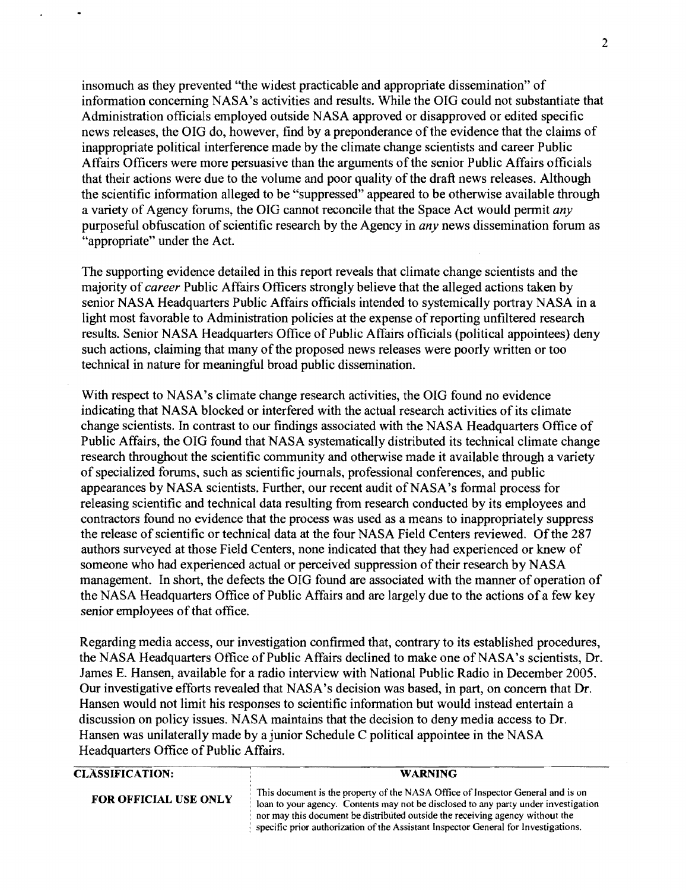insomuch as they prevented "the widest practicable and appropriate dissemination" of information concerning NASA's activities and results. While the OIG could not substantiate that Administration officials employed outside NASA approved or disapproved or edited specific news releases, the OIG do, however, find by a preponderance of the evidence that the claims of inappropriate political interference made by the climate change scientists and career Public Affairs Officers were more persuasive than the arguments of the senior Public Affairs officials that their actions were due to the volume and poor quality of the draft news releases. Although the scientific information alleged to be "suppressed" appeared to be otherwise available through a variety of Agency forums, the OIG cannot reconcile that the Space Act would permit *any*  purposeful obfuscation of scientific research by the Agency in *any* news dissemination forum as "appropriate" under the Act.

The supporting evidence detailed in this report reveals that climate change scientists and the majority of *career* Public Affairs Officers strongly believe that the alleged actions taken by senior NASA Headquarters Public Affairs officials intended to systemically portray NASA in a light most favorable to Administration policies at the expense of reporting unfiltered research results. Senior NASA Headquarters Office of Public Affairs officials (political appointees) deny such actions, claiming that many of the proposed news releases were poorly written or too technical in nature for meaningful broad public dissemination.

With respect to NASA's climate change research activities, the OIG found no evidence indicating that NASA blocked or interfered with the actual research activities of its climate change scientists. In contrast to our findings associated with the NASA Headquarters Office of Public Affairs, the OIG found that NASA systematically distributed its technical climate change research throughout the scientific community and otherwise made it available through a variety of specialized forums, such as scientific journals, professional conferences, and public appearances by NASA scientists. Further, our recent audit of NASA's formal process for releasing scientific and technical data resulting from research conducted by its employees and contractors found no evidence that the process was used as a means to inappropriately suppress the release of scientific or technical data at the four NASA Field Centers reviewed. Of the 287 authors surveyed at those Field Centers, none indicated that they had experienced or knew of someone who had experienced actual or perceived suppression of their research by NASA management. In short, the defects the OIG found are associated with the manner of operation of the NASA Headquarters Office of Public Affairs and are largely due to the actions of a few key senior employees of that office.

Regarding media access, our investigation confirmed that, contrary to its established procedures, the NASA Headquarters Office of Public Affairs declined to make one of NASA's scientists, Dr. James E. Hansen, available for a radio interview with National Public Radio in December 2005. Our investigative efforts revealed that NASA's decision was based, in part, on concern that Dr. Hansen would not limit his responses to scientific information but would instead entertain a discussion on policy issues. NASA maintains that the decision to deny media access to Dr. Hansen was unilaterally made by a junior Schedule C political appointee in the NASA Headquarters Office of Public Affairs.

| <b>CLASSIFICATION:</b> | <b>WARNING</b>                                                                                                                                                                                                                                                                                                                                 |
|------------------------|------------------------------------------------------------------------------------------------------------------------------------------------------------------------------------------------------------------------------------------------------------------------------------------------------------------------------------------------|
| FOR OFFICIAL USE ONLY  | This document is the property of the NASA Office of Inspector General and is on<br>loan to your agency. Contents may not be disclosed to any party under investigation<br>nor may this document be distributed outside the receiving agency without the<br>specific prior authorization of the Assistant Inspector General for Investigations. |